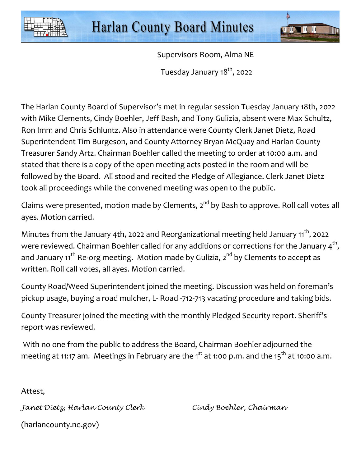



Supervisors Room, Alma NE

Tuesday January 18<sup>th</sup>, 2022

The Harlan County Board of Supervisor's met in regular session Tuesday January 18th, 2022 with Mike Clements, Cindy Boehler, Jeff Bash, and Tony Gulizia, absent were Max Schultz, Ron Imm and Chris Schluntz. Also in attendance were County Clerk Janet Dietz, Road Superintendent Tim Burgeson, and County Attorney Bryan McQuay and Harlan County Treasurer Sandy Artz. Chairman Boehler called the meeting to order at 10:00 a.m. and stated that there is a copy of the open meeting acts posted in the room and will be followed by the Board. All stood and recited the Pledge of Allegiance. Clerk Janet Dietz took all proceedings while the convened meeting was open to the public.

Claims were presented, motion made by Clements, 2<sup>nd</sup> by Bash to approve. Roll call votes all ayes. Motion carried.

Minutes from the January 4th, 2022 and Reorganizational meeting held January  $11^{th}$ , 2022 were reviewed. Chairman Boehler called for any additions or corrections for the January  $\textsf{4}^\textsf{th}$ , and January 11<sup>th</sup> Re-org meeting. Motion made by Gulizia,  $2^{nd}$  by Clements to accept as written. Roll call votes, all ayes. Motion carried.

County Road/Weed Superintendent joined the meeting. Discussion was held on foreman's pickup usage, buying a road mulcher, L- Road -712-713 vacating procedure and taking bids.

County Treasurer joined the meeting with the monthly Pledged Security report. Sheriff's report was reviewed.

 With no one from the public to address the Board, Chairman Boehler adjourned the meeting at 11:17 am. Meetings in February are the 1 $^{\rm st}$  at 1:00 p.m. and the 15 $^{\rm th}$  at 10:00 a.m.  $\,$ 

Attest,

Janet Dietz, Harlan County Clerk Cindy Boehler, Chairman

(harlancounty.ne.gov)